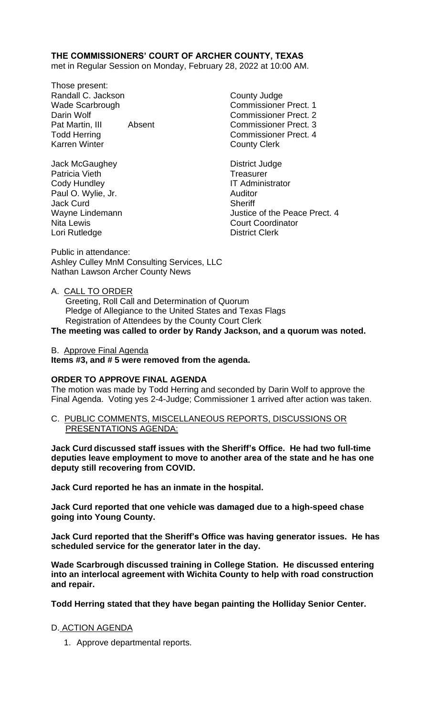# **THE COMMISSIONERS' COURT OF ARCHER COUNTY, TEXAS**

met in Regular Session on Monday, February 28, 2022 at 10:00 AM.

Those present: Randall C. Jackson County Judge Wade Scarbrough Commissioner Prect. 1 Darin Wolf **Commissioner Prect.** 2 Pat Martin, III Absent Commissioner Prect. 3 Todd Herring Todd Exercise Commissioner Prect. 4 Karren Winter **County Clerk** 

Jack McGaughey **District Judge** Patricia Vieth Treasurer Cody Hundley **IT Administrator** Paul O. Wylie, Jr. **Auditor** Auditor Jack Curd **Sheriff** Nita Lewis **Nita Lewis** Court Coordinator Lori Rutledge **District Clerk** 

Wayne Lindemann **Matter Contract Contract Contract Contract Contract Contract Contract Contract Contract Contract Contract Contract Contract Operation Contract Contract Contract Contract Contract Contract Contract Contract** 

Public in attendance: Ashley Culley MnM Consulting Services, LLC Nathan Lawson Archer County News

A. CALL TO ORDER

 Greeting, Roll Call and Determination of Quorum Pledge of Allegiance to the United States and Texas Flags Registration of Attendees by the County Court Clerk

**The meeting was called to order by Randy Jackson, and a quorum was noted.**

#### B. Approve Final Agenda

**Items #3, and # 5 were removed from the agenda.**

#### **ORDER TO APPROVE FINAL AGENDA**

The motion was made by Todd Herring and seconded by Darin Wolf to approve the Final Agenda. Voting yes 2-4-Judge; Commissioner 1 arrived after action was taken.

C. PUBLIC COMMENTS, MISCELLANEOUS REPORTS, DISCUSSIONS OR PRESENTATIONS AGENDA:

**Jack Curd discussed staff issues with the Sheriff's Office. He had two full-time deputies leave employment to move to another area of the state and he has one deputy still recovering from COVID.** 

**Jack Curd reported he has an inmate in the hospital.** 

**Jack Curd reported that one vehicle was damaged due to a high-speed chase going into Young County.** 

**Jack Curd reported that the Sheriff's Office was having generator issues. He has scheduled service for the generator later in the day.**

**Wade Scarbrough discussed training in College Station. He discussed entering into an interlocal agreement with Wichita County to help with road construction and repair.** 

**Todd Herring stated that they have began painting the Holliday Senior Center.**

#### D. ACTION AGENDA

1. Approve departmental reports.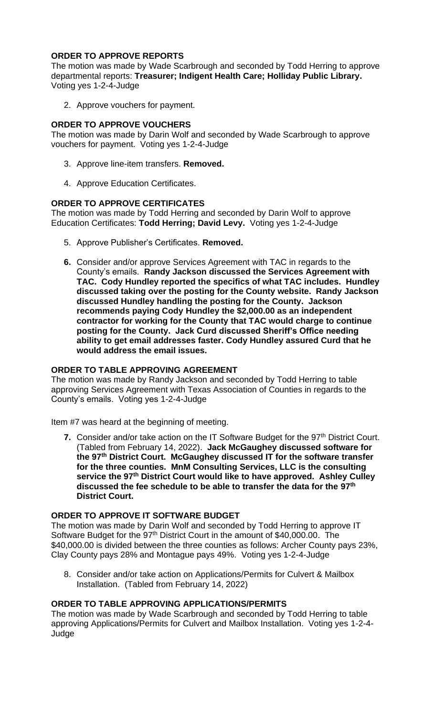# **ORDER TO APPROVE REPORTS**

The motion was made by Wade Scarbrough and seconded by Todd Herring to approve departmental reports: **Treasurer; Indigent Health Care; Holliday Public Library.** Voting yes 1-2-4-Judge

2. Approve vouchers for payment.

## **ORDER TO APPROVE VOUCHERS**

The motion was made by Darin Wolf and seconded by Wade Scarbrough to approve vouchers for payment. Voting yes 1-2-4-Judge

- 3. Approve line-item transfers. **Removed.**
- 4. Approve Education Certificates.

### **ORDER TO APPROVE CERTIFICATES**

The motion was made by Todd Herring and seconded by Darin Wolf to approve Education Certificates: **Todd Herring; David Levy.** Voting yes 1-2-4-Judge

- 5. Approve Publisher's Certificates. **Removed.**
- **6.** Consider and/or approve Services Agreement with TAC in regards to the County's emails. **Randy Jackson discussed the Services Agreement with TAC. Cody Hundley reported the specifics of what TAC includes. Hundley discussed taking over the posting for the County website. Randy Jackson discussed Hundley handling the posting for the County. Jackson recommends paying Cody Hundley the \$2,000.00 as an independent contractor for working for the County that TAC would charge to continue posting for the County. Jack Curd discussed Sheriff's Office needing ability to get email addresses faster. Cody Hundley assured Curd that he would address the email issues.**

### **ORDER TO TABLE APPROVING AGREEMENT**

The motion was made by Randy Jackson and seconded by Todd Herring to table approving Services Agreement with Texas Association of Counties in regards to the County's emails. Voting yes 1-2-4-Judge

Item #7 was heard at the beginning of meeting.

**7.** Consider and/or take action on the IT Software Budget for the 97<sup>th</sup> District Court. (Tabled from February 14, 2022). **Jack McGaughey discussed software for the 97th District Court. McGaughey discussed IT for the software transfer for the three counties. MnM Consulting Services, LLC is the consulting service the 97th District Court would like to have approved. Ashley Culley discussed the fee schedule to be able to transfer the data for the 97th District Court.** 

#### **ORDER TO APPROVE IT SOFTWARE BUDGET**

The motion was made by Darin Wolf and seconded by Todd Herring to approve IT Software Budget for the 97<sup>th</sup> District Court in the amount of \$40,000.00. The \$40,000.00 is divided between the three counties as follows: Archer County pays 23%, Clay County pays 28% and Montague pays 49%. Voting yes 1-2-4-Judge

8. Consider and/or take action on Applications/Permits for Culvert & Mailbox Installation. (Tabled from February 14, 2022)

### **ORDER TO TABLE APPROVING APPLICATIONS/PERMITS**

The motion was made by Wade Scarbrough and seconded by Todd Herring to table approving Applications/Permits for Culvert and Mailbox Installation. Voting yes 1-2-4- Judge